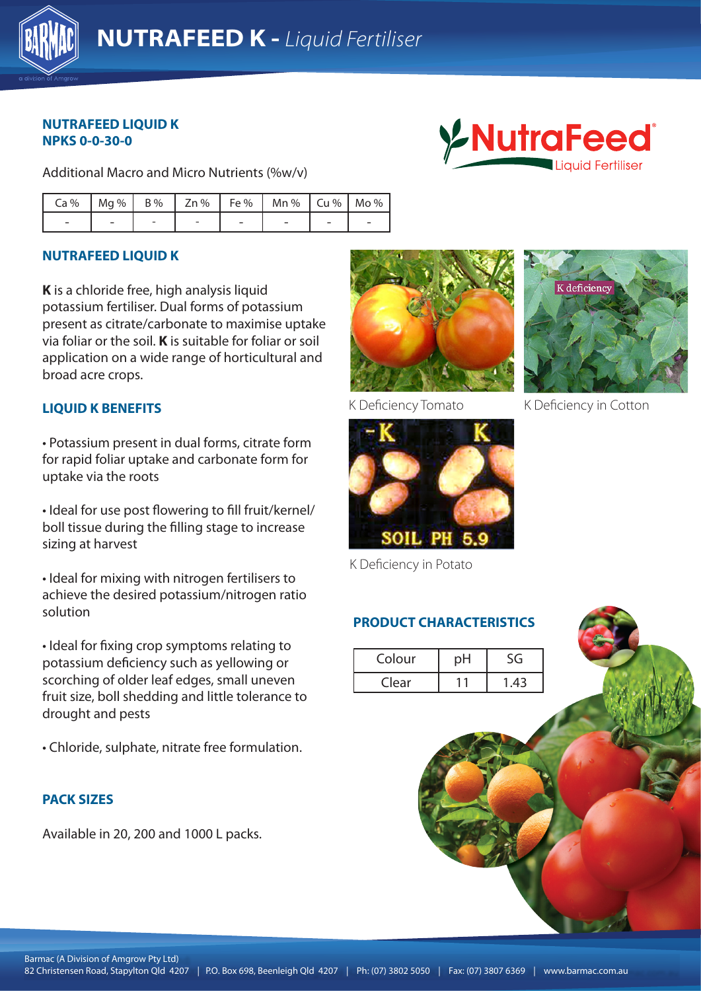

# **NUTRAFEED LIQUID K NPKS 0-0-30-0**

Additional Macro and Micro Nutrients (%w/v)

| Ca%   Mg%   B%   Zn%   Fe%   Mn%   Cu%   Mo% |  |  |  |  |
|----------------------------------------------|--|--|--|--|
|                                              |  |  |  |  |

# **NUTRAFEED LIQUID K**

**K** is a chloride free, high analysis liquid potassium fertiliser. Dual forms of potassium present as citrate/carbonate to maximise uptake via foliar or the soil. **K** is suitable for foliar or soil application on a wide range of horticultural and broad acre crops.

## **LIQUID K BENEFITS**

for rapid foliar uptake and carbonate form for uptake via the roots and all 4207 is a started by the road, such as a started by the road, such as a started by the road, such as a started by the road and authority of the road and authority of the road and authority of t • Potassium present in dual forms, citrate form

• Ideal for use post flowering to fill fruit/kernel/ boll tissue during the filling stage to increase sizing at harvest

• Ideal for mixing with nitrogen fertilisers to achieve the desired potassium/nitrogen ratio solution

• Ideal for fixing crop symptoms relating to potassium deficiency such as yellowing or scorching of older leaf edges, small uneven fruit size, boll shedding and little tolerance to drought and pests

• Chloride, sulphate, nitrate free formulation.

## **PACK SIZES**

Available in 20, 200 and 1000 L packs.





K Deficiency in Potato

# **PRODUCT CHARACTERISTICS**

| Colour | рH | S٤   |
|--------|----|------|
| Clear  |    | 1.43 |



**LAutraFeed** 

K Deficiency Tomato K Deficiency in Cotton